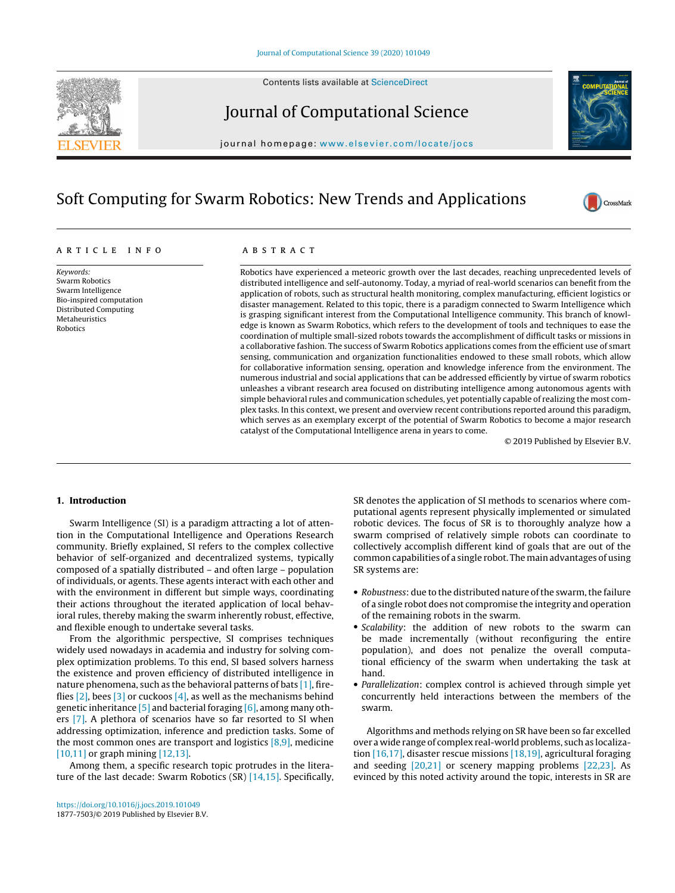Contents lists available at [ScienceDirect](http://www.sciencedirect.com/science/journal/18777503)



journal homepage: [www.elsevier.com/locate/jocs](http://www.elsevier.com/locate/jocs)





# a r t i c l e i n f o

Keywords: Swarm Robotics Swarm Intelligence Bio-inspired computation Distributed Computing Metaheuristics Robotics

# A B S T R A C T

Robotics have experienced a meteoric growth over the last decades, reaching unprecedented levels of distributed intelligence and self-autonomy. Today, a myriad of real-world scenarios can benefit from the application of robots, such as structural health monitoring, complex manufacturing, efficient logistics or disaster management. Related to this topic, there is a paradigm connected to Swarm Intelligence which is grasping significant interest from the Computational Intelligence community. This branch of knowledge is known as Swarm Robotics, which refers to the development of tools and techniques to ease the coordination of multiple small-sized robots towards the accomplishment of difficult tasks or missions in a collaborative fashion. The success of Swarm Robotics applications comes from the efficient use of smart sensing, communication and organization functionalities endowed to these small robots, which allow for collaborative information sensing, operation and knowledge inference from the environment. The numerous industrial and social applications that can be addressed efficiently by virtue of swarm robotics unleashes a vibrant research area focused on distributing intelligence among autonomous agents with simple behavioral rules and communication schedules, yet potentially capable of realizing the most complex tasks. In this context, we present and overview recent contributions reported around this paradigm, which serves as an exemplary excerpt of the potential of Swarm Robotics to become a major research catalyst of the Computational Intelligence arena in years to come.

© 2019 Published by Elsevier B.V.

## **1. Introduction**

Swarm Intelligence (SI) is a paradigm attracting a lot of attention in the Computational Intelligence and Operations Research community. Briefly explained, SI refers to the complex collective behavior of self-organized and decentralized systems, typically composed of a spatially distributed – and often large – population of individuals, or agents. These agents interact with each other and with the environment in different but simple ways, coordinating their actions throughout the iterated application of local behavioral rules, thereby making the swarm inherently robust, effective, and flexible enough to undertake several tasks.

From the algorithmic perspective, SI comprises techniques widely used nowadays in academia and industry for solving complex optimization problems. To this end, SI based solvers harness the existence and proven efficiency of distributed intelligence in nature phenomena, such as the behavioral patterns of bats [\[1\],](#page-2-0) fireflies  $[2]$ , bees  $[3]$  or cuckoos  $[4]$ , as well as the mechanisms behind genetic inheritance  $[5]$  and bacterial foraging  $[6]$ , among many others [\[7\].](#page-2-0) A plethora of scenarios have so far resorted to SI when addressing optimization, inference and prediction tasks. Some of the most common ones are transport and logistics [\[8,9\],](#page-2-0) medicine [\[10,11\]](#page-2-0) or graph mining [\[12,13\].](#page-2-0)

Among them, a specific research topic protrudes in the literature of the last decade: Swarm Robotics (SR) [\[14,15\].](#page-2-0) Specifically, SR denotes the application of SI methods to scenarios where computational agents represent physically implemented or simulated robotic devices. The focus of SR is to thoroughly analyze how a swarm comprised of relatively simple robots can coordinate to collectively accomplish different kind of goals that are out of the common capabilities of a single robot. The main advantages of using SR systems are:

- Robustness: due to the distributed nature of the swarm, the failure of a single robot does not compromise the integrity and operation of the remaining robots in the swarm.
- Scalability: the addition of new robots to the swarm can be made incrementally (without reconfiguring the entire population), and does not penalize the overall computational efficiency of the swarm when undertaking the task at hand.
- Parallelization: complex control is achieved through simple yet concurrently held interactions between the members of the swarm.

Algorithms and methods relying on SR have been so far excelled over a wide range of complex real-world problems, such as localization [\[16,17\],](#page-2-0) disaster rescue missions [\[18,19\],](#page-2-0) agricultural foraging and seeding [\[20,21\]](#page-2-0) or scenery mapping problems [\[22,23\].](#page-2-0) As evinced by this noted activity around the topic, interests in SR are

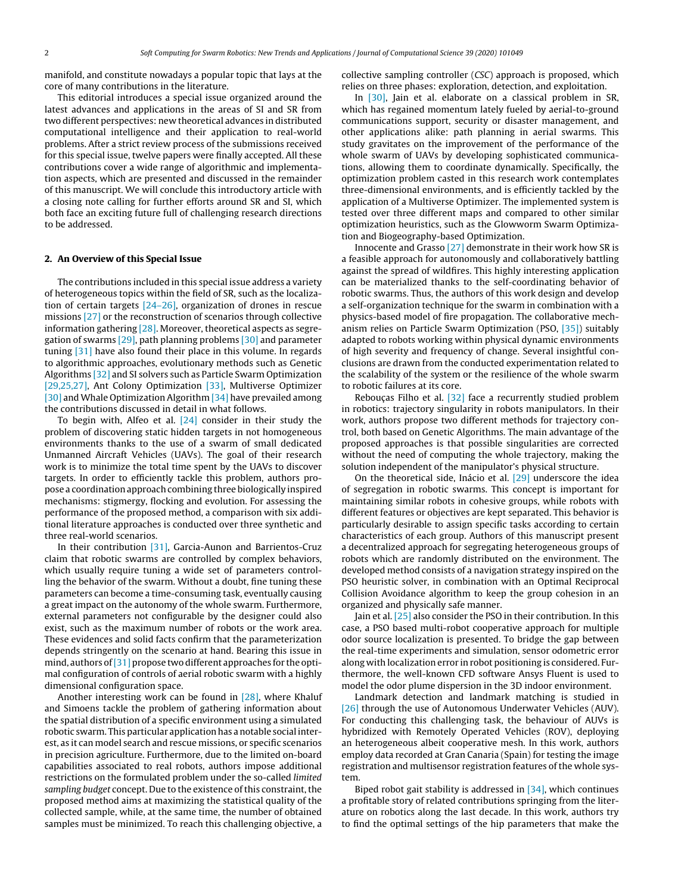manifold, and constitute nowadays a popular topic that lays at the core of many contributions in the literature.

This editorial introduces a special issue organized around the latest advances and applications in the areas of SI and SR from two different perspectives: new theoretical advances in distributed computational intelligence and their application to real-world problems. After a strict review process of the submissions received for this special issue, twelve papers were finally accepted. All these contributions cover a wide range of algorithmic and implementation aspects, which are presented and discussed in the remainder of this manuscript. We will conclude this introductory article with a closing note calling for further efforts around SR and SI, which both face an exciting future full of challenging research directions to be addressed.

## **2. An Overview of this Special Issue**

The contributions included in this special issue address a variety of heterogeneous topics within the field of SR, such as the localization of certain targets [\[24–26\],](#page-2-0) organization of drones in rescue missions [\[27\]](#page-3-0) or the reconstruction of scenarios through collective information gathering  $[28]$ . Moreover, theoretical aspects as segregation of swarms [\[29\],](#page-3-0) path planning problems [\[30\]](#page-3-0) and parameter tuning [\[31\]](#page-3-0) have also found their place in this volume. In regards to algorithmic approaches, evolutionary methods such as Genetic Algorithms [\[32\]](#page-3-0) and SI solvers such as Particle Swarm Optimization [\[29,25,27\],](#page-3-0) Ant Colony Optimization [\[33\],](#page-3-0) Multiverse Optimizer [\[30\]](#page-3-0) and Whale Optimization Algorithm [\[34\]](#page-3-0) have prevailed among the contributions discussed in detail in what follows.

To begin with, Alfeo et al. [\[24\]](#page-2-0) consider in their study the problem of discovering static hidden targets in not homogeneous environments thanks to the use of a swarm of small dedicated Unmanned Aircraft Vehicles (UAVs). The goal of their research work is to minimize the total time spent by the UAVs to discover targets. In order to efficiently tackle this problem, authors propose a coordination approach combining three biologically inspired mechanisms: stigmergy, flocking and evolution. For assessing the performance of the proposed method, a comparison with six additional literature approaches is conducted over three synthetic and three real-world scenarios.

In their contribution [\[31\],](#page-3-0) Garcia-Aunon and Barrientos-Cruz claim that robotic swarms are controlled by complex behaviors, which usually require tuning a wide set of parameters controlling the behavior of the swarm. Without a doubt, fine tuning these parameters can become a time-consuming task, eventually causing a great impact on the autonomy of the whole swarm. Furthermore, external parameters not configurable by the designer could also exist, such as the maximum number of robots or the work area. These evidences and solid facts confirm that the parameterization depends stringently on the scenario at hand. Bearing this issue in mind, authors of  $[31]$  propose two different approaches for the optimal configuration of controls of aerial robotic swarm with a highly dimensional configuration space.

Another interesting work can be found in [\[28\],](#page-3-0) where Khaluf and Simoens tackle the problem of gathering information about the spatial distribution of a specific environment using a simulated robotic swarm. This particular application has a notable social interest, as it can model search and rescue missions, or specific scenarios in precision agriculture. Furthermore, due to the limited on-board capabilities associated to real robots, authors impose additional restrictions on the formulated problem under the so-called limited sampling budget concept. Due to the existence of this constraint, the proposed method aims at maximizing the statistical quality of the collected sample, while, at the same time, the number of obtained samples must be minimized. To reach this challenging objective, a

collective sampling controller (CSC) approach is proposed, which relies on three phases: exploration, detection, and exploitation.

In [\[30\],](#page-3-0) Jain et al. elaborate on a classical problem in SR, which has regained momentum lately fueled by aerial-to-ground communications support, security or disaster management, and other applications alike: path planning in aerial swarms. This study gravitates on the improvement of the performance of the whole swarm of UAVs by developing sophisticated communications, allowing them to coordinate dynamically. Specifically, the optimization problem casted in this research work contemplates three-dimensional environments, and is efficiently tackled by the application of a Multiverse Optimizer. The implemented system is tested over three different maps and compared to other similar optimization heuristics, such as the Glowworm Swarm Optimization and Biogeography-based Optimization.

Innocente and Grasso [\[27\]](#page-3-0) demonstrate in their work how SR is a feasible approach for autonomously and collaboratively battling against the spread of wildfires. This highly interesting application can be materialized thanks to the self-coordinating behavior of robotic swarms. Thus, the authors of this work design and develop a self-organization technique for the swarm in combination with a physics-based model of fire propagation. The collaborative mechanism relies on Particle Swarm Optimization (PSO, [\[35\]\)](#page-3-0) suitably adapted to robots working within physical dynamic environments of high severity and frequency of change. Several insightful conclusions are drawn from the conducted experimentation related to the scalability of the system or the resilience of the whole swarm to robotic failures at its core.

Reboucas Filho et al.  $[32]$  face a recurrently studied problem in robotics: trajectory singularity in robots manipulators. In their work, authors propose two different methods for trajectory control, both based on Genetic Algorithms. The main advantage of the proposed approaches is that possible singularities are corrected without the need of computing the whole trajectory, making the solution independent of the manipulator's physical structure.

On the theoretical side, Inácio et al. [\[29\]](#page-3-0) underscore the idea of segregation in robotic swarms. This concept is important for maintaining similar robots in cohesive groups, while robots with different features or objectives are kept separated. This behavior is particularly desirable to assign specific tasks according to certain characteristics of each group. Authors of this manuscript present a decentralized approach for segregating heterogeneous groups of robots which are randomly distributed on the environment. The developed method consists of a navigation strategy inspired on the PSO heuristic solver, in combination with an Optimal Reciprocal Collision Avoidance algorithm to keep the group cohesion in an organized and physically safe manner.

Jain et al. [\[25\]](#page-2-0) also consider the PSO in their contribution. In this case, a PSO based multi-robot cooperative approach for multiple odor source localization is presented. To bridge the gap between the real-time experiments and simulation, sensor odometric error along with localization error in robot positioning is considered. Furthermore, the well-known CFD software Ansys Fluent is used to model the odor plume dispersion in the 3D indoor environment.

Landmark detection and landmark matching is studied in [\[26\]](#page-3-0) through the use of Autonomous Underwater Vehicles (AUV). For conducting this challenging task, the behaviour of AUVs is hybridized with Remotely Operated Vehicles (ROV), deploying an heterogeneous albeit cooperative mesh. In this work, authors employ data recorded at Gran Canaria (Spain) for testing the image registration and multisensor registration features of the whole system.

Biped robot gait stability is addressed in  $[34]$ , which continues a profitable story of related contributions springing from the literature on robotics along the last decade. In this work, authors try to find the optimal settings of the hip parameters that make the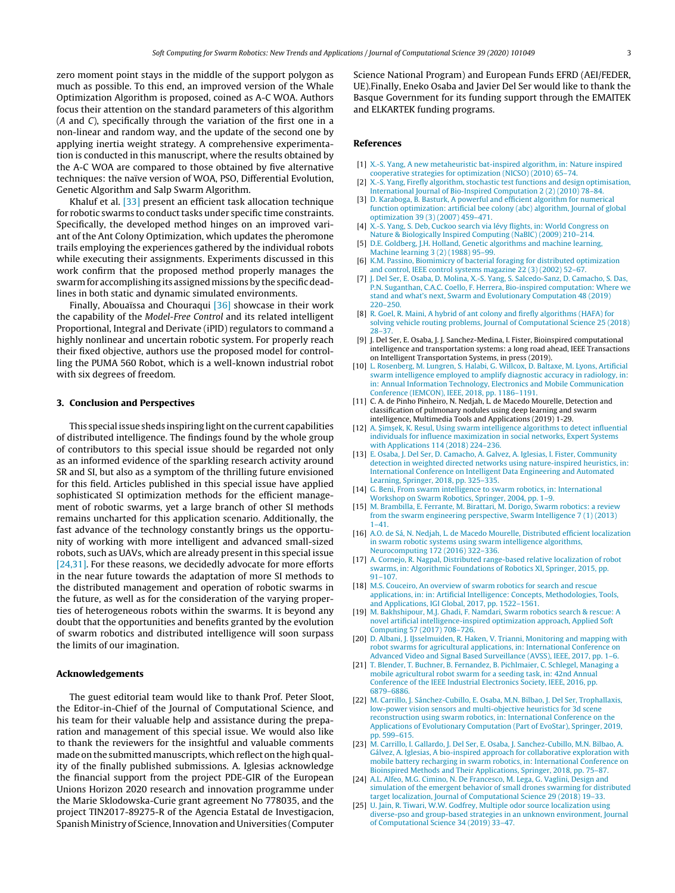<span id="page-2-0"></span>zero moment point stays in the middle of the support polygon as much as possible. To this end, an improved version of the Whale Optimization Algorithm is proposed, coined as A-C WOA. Authors focus their attention on the standard parameters of this algorithm (A and C), specifically through the variation of the first one in a non-linear and random way, and the update of the second one by applying inertia weight strategy. A comprehensive experimentation is conducted in this manuscript, where the results obtained by the A-C WOA are compared to those obtained by five alternative techniques: the naïve version of WOA, PSO, Differential Evolution, Genetic Algorithm and Salp Swarm Algorithm.

Khaluf et al. [\[33\]](#page-3-0) present an efficient task allocation technique for robotic swarms to conduct tasks under specific time constraints. Specifically, the developed method hinges on an improved variant of the Ant Colony Optimization, which updates the pheromone trails employing the experiences gathered by the individual robots while executing their assignments. Experiments discussed in this work confirm that the proposed method properly manages the swarm for accomplishing its assigned missions by the specific deadlines in both static and dynamic simulated environments.

Finally, Abouaïssa and Chouraqui [\[36\]](#page-3-0) showcase in their work the capability of the Model-Free Control and its related intelligent Proportional, Integral and Derivate (iPID) regulators to command a highly nonlinear and uncertain robotic system. For properly reach their fixed objective, authors use the proposed model for controlling the PUMA 560 Robot, which is a well-known industrial robot with six degrees of freedom.

### **3. Conclusion and Perspectives**

This special issue sheds inspiring light on the current capabilities of distributed intelligence. The findings found by the whole group of contributors to this special issue should be regarded not only as an informed evidence of the sparkling research activity around SR and SI, but also as a symptom of the thrilling future envisioned for this field. Articles published in this special issue have applied sophisticated SI optimization methods for the efficient management of robotic swarms, yet a large branch of other SI methods remains uncharted for this application scenario. Additionally, the fast advance of the technology constantly brings us the opportunity of working with more intelligent and advanced small-sized robots, such as UAVs, which are already present in this special issue [24,31]. For these reasons, we decidedly advocate for more efforts in the near future towards the adaptation of more SI methods to the distributed management and operation of robotic swarms in the future, as well as for the consideration of the varying properties of heterogeneous robots within the swarms. It is beyond any doubt that the opportunities and benefits granted by the evolution of swarm robotics and distributed intelligence will soon surpass the limits of our imagination.

#### **Acknowledgements**

The guest editorial team would like to thank Prof. Peter Sloot, the Editor-in-Chief of the Journal of Computational Science, and his team for their valuable help and assistance during the preparation and management of this special issue. We would also like to thank the reviewers for the insightful and valuable comments made on the submitted manuscripts, which reflect on the high quality of the finally published submissions. A. Iglesias acknowledge the financial support from the project PDE-GIR of the European Unions Horizon 2020 research and innovation programme under the Marie Sklodowska-Curie grant agreement No 778035, and the project TIN2017-89275-R of the Agencia Estatal de Investigacion, SpanishMinistry of Science,Innovation and Universities (Computer Science National Program) and European Funds EFRD (AEI/FEDER, UE).Finally, Eneko Osaba and Javier Del Ser would like to thank the Basque Government for its funding support through the EMAITEK and ELKARTEK funding programs.

# **References**

- [1] [X.-S.](http://refhub.elsevier.com/S1877-7503(19)31172-X/sbref0005) [Yang,](http://refhub.elsevier.com/S1877-7503(19)31172-X/sbref0005) [A](http://refhub.elsevier.com/S1877-7503(19)31172-X/sbref0005) [new](http://refhub.elsevier.com/S1877-7503(19)31172-X/sbref0005) [metaheuristic](http://refhub.elsevier.com/S1877-7503(19)31172-X/sbref0005) [bat-inspired](http://refhub.elsevier.com/S1877-7503(19)31172-X/sbref0005) [algorithm,](http://refhub.elsevier.com/S1877-7503(19)31172-X/sbref0005) [in:](http://refhub.elsevier.com/S1877-7503(19)31172-X/sbref0005) [Nature](http://refhub.elsevier.com/S1877-7503(19)31172-X/sbref0005) [inspired](http://refhub.elsevier.com/S1877-7503(19)31172-X/sbref0005) [cooperative](http://refhub.elsevier.com/S1877-7503(19)31172-X/sbref0005) [strategies](http://refhub.elsevier.com/S1877-7503(19)31172-X/sbref0005) [for](http://refhub.elsevier.com/S1877-7503(19)31172-X/sbref0005) [optimization](http://refhub.elsevier.com/S1877-7503(19)31172-X/sbref0005) [\(NICSO\)](http://refhub.elsevier.com/S1877-7503(19)31172-X/sbref0005) [\(2010\)](http://refhub.elsevier.com/S1877-7503(19)31172-X/sbref0005) [65](http://refhub.elsevier.com/S1877-7503(19)31172-X/sbref0005)–[74.](http://refhub.elsevier.com/S1877-7503(19)31172-X/sbref0005)
- [2] [X.-S.](http://refhub.elsevier.com/S1877-7503(19)31172-X/sbref0010) [Yang,](http://refhub.elsevier.com/S1877-7503(19)31172-X/sbref0010) [Firefly](http://refhub.elsevier.com/S1877-7503(19)31172-X/sbref0010) [algorithm,](http://refhub.elsevier.com/S1877-7503(19)31172-X/sbref0010) [stochastic](http://refhub.elsevier.com/S1877-7503(19)31172-X/sbref0010) [test](http://refhub.elsevier.com/S1877-7503(19)31172-X/sbref0010) [functions](http://refhub.elsevier.com/S1877-7503(19)31172-X/sbref0010) [and](http://refhub.elsevier.com/S1877-7503(19)31172-X/sbref0010) [design](http://refhub.elsevier.com/S1877-7503(19)31172-X/sbref0010) [optimisation,](http://refhub.elsevier.com/S1877-7503(19)31172-X/sbref0010) [International](http://refhub.elsevier.com/S1877-7503(19)31172-X/sbref0010) [Journal](http://refhub.elsevier.com/S1877-7503(19)31172-X/sbref0010) [of](http://refhub.elsevier.com/S1877-7503(19)31172-X/sbref0010) [Bio-Inspired](http://refhub.elsevier.com/S1877-7503(19)31172-X/sbref0010) [Computation](http://refhub.elsevier.com/S1877-7503(19)31172-X/sbref0010) [2](http://refhub.elsevier.com/S1877-7503(19)31172-X/sbref0010) [\(2\)](http://refhub.elsevier.com/S1877-7503(19)31172-X/sbref0010) [\(2010\)](http://refhub.elsevier.com/S1877-7503(19)31172-X/sbref0010) [78](http://refhub.elsevier.com/S1877-7503(19)31172-X/sbref0010)–[84.](http://refhub.elsevier.com/S1877-7503(19)31172-X/sbref0010)
- [3] [D.](http://refhub.elsevier.com/S1877-7503(19)31172-X/sbref0015) [Karaboga,](http://refhub.elsevier.com/S1877-7503(19)31172-X/sbref0015) [B.](http://refhub.elsevier.com/S1877-7503(19)31172-X/sbref0015) [Basturk,](http://refhub.elsevier.com/S1877-7503(19)31172-X/sbref0015) [A](http://refhub.elsevier.com/S1877-7503(19)31172-X/sbref0015) [powerful](http://refhub.elsevier.com/S1877-7503(19)31172-X/sbref0015) [and](http://refhub.elsevier.com/S1877-7503(19)31172-X/sbref0015) [efficient](http://refhub.elsevier.com/S1877-7503(19)31172-X/sbref0015) [algorithm](http://refhub.elsevier.com/S1877-7503(19)31172-X/sbref0015) [for](http://refhub.elsevier.com/S1877-7503(19)31172-X/sbref0015) [numerical](http://refhub.elsevier.com/S1877-7503(19)31172-X/sbref0015) [function](http://refhub.elsevier.com/S1877-7503(19)31172-X/sbref0015) [optimization:](http://refhub.elsevier.com/S1877-7503(19)31172-X/sbref0015) [artificial](http://refhub.elsevier.com/S1877-7503(19)31172-X/sbref0015) [bee](http://refhub.elsevier.com/S1877-7503(19)31172-X/sbref0015) [colony](http://refhub.elsevier.com/S1877-7503(19)31172-X/sbref0015) [\(abc\)](http://refhub.elsevier.com/S1877-7503(19)31172-X/sbref0015) [algorithm,](http://refhub.elsevier.com/S1877-7503(19)31172-X/sbref0015) [Journal](http://refhub.elsevier.com/S1877-7503(19)31172-X/sbref0015) [of](http://refhub.elsevier.com/S1877-7503(19)31172-X/sbref0015) [global](http://refhub.elsevier.com/S1877-7503(19)31172-X/sbref0015) [optimization](http://refhub.elsevier.com/S1877-7503(19)31172-X/sbref0015) [39](http://refhub.elsevier.com/S1877-7503(19)31172-X/sbref0015) [\(3\)](http://refhub.elsevier.com/S1877-7503(19)31172-X/sbref0015) [\(2007\)](http://refhub.elsevier.com/S1877-7503(19)31172-X/sbref0015) [459–471.](http://refhub.elsevier.com/S1877-7503(19)31172-X/sbref0015)
- [4] [X.-S.](http://refhub.elsevier.com/S1877-7503(19)31172-X/sbref0020) [Yang,](http://refhub.elsevier.com/S1877-7503(19)31172-X/sbref0020) [S.](http://refhub.elsevier.com/S1877-7503(19)31172-X/sbref0020) [Deb,](http://refhub.elsevier.com/S1877-7503(19)31172-X/sbref0020) [Cuckoo](http://refhub.elsevier.com/S1877-7503(19)31172-X/sbref0020) [search](http://refhub.elsevier.com/S1877-7503(19)31172-X/sbref0020) [via](http://refhub.elsevier.com/S1877-7503(19)31172-X/sbref0020) [lévy](http://refhub.elsevier.com/S1877-7503(19)31172-X/sbref0020) [flights,](http://refhub.elsevier.com/S1877-7503(19)31172-X/sbref0020) [in:](http://refhub.elsevier.com/S1877-7503(19)31172-X/sbref0020) [World](http://refhub.elsevier.com/S1877-7503(19)31172-X/sbref0020) [Congress](http://refhub.elsevier.com/S1877-7503(19)31172-X/sbref0020) [on](http://refhub.elsevier.com/S1877-7503(19)31172-X/sbref0020) [Nature](http://refhub.elsevier.com/S1877-7503(19)31172-X/sbref0020) [&](http://refhub.elsevier.com/S1877-7503(19)31172-X/sbref0020) [Biologically](http://refhub.elsevier.com/S1877-7503(19)31172-X/sbref0020) [Inspired](http://refhub.elsevier.com/S1877-7503(19)31172-X/sbref0020) [Computing](http://refhub.elsevier.com/S1877-7503(19)31172-X/sbref0020) [\(NaBIC\)](http://refhub.elsevier.com/S1877-7503(19)31172-X/sbref0020) [\(2009\)](http://refhub.elsevier.com/S1877-7503(19)31172-X/sbref0020) [210–214.](http://refhub.elsevier.com/S1877-7503(19)31172-X/sbref0020)
- [5] [D.E.](http://refhub.elsevier.com/S1877-7503(19)31172-X/sbref0025) [Goldberg,](http://refhub.elsevier.com/S1877-7503(19)31172-X/sbref0025) [J.H.](http://refhub.elsevier.com/S1877-7503(19)31172-X/sbref0025) [Holland,](http://refhub.elsevier.com/S1877-7503(19)31172-X/sbref0025) [Genetic](http://refhub.elsevier.com/S1877-7503(19)31172-X/sbref0025) [algorithms](http://refhub.elsevier.com/S1877-7503(19)31172-X/sbref0025) [and](http://refhub.elsevier.com/S1877-7503(19)31172-X/sbref0025) [machine](http://refhub.elsevier.com/S1877-7503(19)31172-X/sbref0025) [learning,](http://refhub.elsevier.com/S1877-7503(19)31172-X/sbref0025) [Machine](http://refhub.elsevier.com/S1877-7503(19)31172-X/sbref0025) [learning](http://refhub.elsevier.com/S1877-7503(19)31172-X/sbref0025) [3](http://refhub.elsevier.com/S1877-7503(19)31172-X/sbref0025) [\(2\)](http://refhub.elsevier.com/S1877-7503(19)31172-X/sbref0025) [\(1988\)](http://refhub.elsevier.com/S1877-7503(19)31172-X/sbref0025) [95–99.](http://refhub.elsevier.com/S1877-7503(19)31172-X/sbref0025)
- [6] [K.M.](http://refhub.elsevier.com/S1877-7503(19)31172-X/sbref0030) [Passino,](http://refhub.elsevier.com/S1877-7503(19)31172-X/sbref0030) [Biomimicry](http://refhub.elsevier.com/S1877-7503(19)31172-X/sbref0030) [of](http://refhub.elsevier.com/S1877-7503(19)31172-X/sbref0030) [bacterial](http://refhub.elsevier.com/S1877-7503(19)31172-X/sbref0030) [foraging](http://refhub.elsevier.com/S1877-7503(19)31172-X/sbref0030) [for](http://refhub.elsevier.com/S1877-7503(19)31172-X/sbref0030) [distributed](http://refhub.elsevier.com/S1877-7503(19)31172-X/sbref0030) [optimization](http://refhub.elsevier.com/S1877-7503(19)31172-X/sbref0030) [and](http://refhub.elsevier.com/S1877-7503(19)31172-X/sbref0030) [control,](http://refhub.elsevier.com/S1877-7503(19)31172-X/sbref0030) [IEEE](http://refhub.elsevier.com/S1877-7503(19)31172-X/sbref0030) [control](http://refhub.elsevier.com/S1877-7503(19)31172-X/sbref0030) [systems](http://refhub.elsevier.com/S1877-7503(19)31172-X/sbref0030) [magazine](http://refhub.elsevier.com/S1877-7503(19)31172-X/sbref0030) [22](http://refhub.elsevier.com/S1877-7503(19)31172-X/sbref0030) [\(3\)](http://refhub.elsevier.com/S1877-7503(19)31172-X/sbref0030) [\(2002\)](http://refhub.elsevier.com/S1877-7503(19)31172-X/sbref0030) [52–67.](http://refhub.elsevier.com/S1877-7503(19)31172-X/sbref0030)
- [7] [J.](http://refhub.elsevier.com/S1877-7503(19)31172-X/sbref0035) [Del](http://refhub.elsevier.com/S1877-7503(19)31172-X/sbref0035) [Ser,](http://refhub.elsevier.com/S1877-7503(19)31172-X/sbref0035) [E.](http://refhub.elsevier.com/S1877-7503(19)31172-X/sbref0035) [Osaba,](http://refhub.elsevier.com/S1877-7503(19)31172-X/sbref0035) [D.](http://refhub.elsevier.com/S1877-7503(19)31172-X/sbref0035) [Molina,](http://refhub.elsevier.com/S1877-7503(19)31172-X/sbref0035) [X.-S.](http://refhub.elsevier.com/S1877-7503(19)31172-X/sbref0035) [Yang,](http://refhub.elsevier.com/S1877-7503(19)31172-X/sbref0035) [S.](http://refhub.elsevier.com/S1877-7503(19)31172-X/sbref0035) [Salcedo-Sanz,](http://refhub.elsevier.com/S1877-7503(19)31172-X/sbref0035) [D.](http://refhub.elsevier.com/S1877-7503(19)31172-X/sbref0035) [Camacho,](http://refhub.elsevier.com/S1877-7503(19)31172-X/sbref0035) [S.](http://refhub.elsevier.com/S1877-7503(19)31172-X/sbref0035) [Das,](http://refhub.elsevier.com/S1877-7503(19)31172-X/sbref0035) [P.N.](http://refhub.elsevier.com/S1877-7503(19)31172-X/sbref0035) [Suganthan,](http://refhub.elsevier.com/S1877-7503(19)31172-X/sbref0035) [C.A.C.](http://refhub.elsevier.com/S1877-7503(19)31172-X/sbref0035) [Coello,](http://refhub.elsevier.com/S1877-7503(19)31172-X/sbref0035) [F.](http://refhub.elsevier.com/S1877-7503(19)31172-X/sbref0035) [Herrera,](http://refhub.elsevier.com/S1877-7503(19)31172-X/sbref0035) [Bio-inspired](http://refhub.elsevier.com/S1877-7503(19)31172-X/sbref0035) [computation:](http://refhub.elsevier.com/S1877-7503(19)31172-X/sbref0035) [Where](http://refhub.elsevier.com/S1877-7503(19)31172-X/sbref0035) [we](http://refhub.elsevier.com/S1877-7503(19)31172-X/sbref0035) [stand](http://refhub.elsevier.com/S1877-7503(19)31172-X/sbref0035) [and](http://refhub.elsevier.com/S1877-7503(19)31172-X/sbref0035) [what's](http://refhub.elsevier.com/S1877-7503(19)31172-X/sbref0035) [next,](http://refhub.elsevier.com/S1877-7503(19)31172-X/sbref0035) [Swarm](http://refhub.elsevier.com/S1877-7503(19)31172-X/sbref0035) [and](http://refhub.elsevier.com/S1877-7503(19)31172-X/sbref0035) [Evolutionary](http://refhub.elsevier.com/S1877-7503(19)31172-X/sbref0035) [Computation](http://refhub.elsevier.com/S1877-7503(19)31172-X/sbref0035) [48](http://refhub.elsevier.com/S1877-7503(19)31172-X/sbref0035) [\(2019\)](http://refhub.elsevier.com/S1877-7503(19)31172-X/sbref0035) [220–250.](http://refhub.elsevier.com/S1877-7503(19)31172-X/sbref0035)
- [8] [R.](http://refhub.elsevier.com/S1877-7503(19)31172-X/sbref0040) [Goel,](http://refhub.elsevier.com/S1877-7503(19)31172-X/sbref0040) [R.](http://refhub.elsevier.com/S1877-7503(19)31172-X/sbref0040) [Maini,](http://refhub.elsevier.com/S1877-7503(19)31172-X/sbref0040) [A](http://refhub.elsevier.com/S1877-7503(19)31172-X/sbref0040) [hybrid](http://refhub.elsevier.com/S1877-7503(19)31172-X/sbref0040) [of](http://refhub.elsevier.com/S1877-7503(19)31172-X/sbref0040) [ant](http://refhub.elsevier.com/S1877-7503(19)31172-X/sbref0040) [colony](http://refhub.elsevier.com/S1877-7503(19)31172-X/sbref0040) [and](http://refhub.elsevier.com/S1877-7503(19)31172-X/sbref0040) [firefly](http://refhub.elsevier.com/S1877-7503(19)31172-X/sbref0040) [algorithms](http://refhub.elsevier.com/S1877-7503(19)31172-X/sbref0040) [\(HAFA\)](http://refhub.elsevier.com/S1877-7503(19)31172-X/sbref0040) [for](http://refhub.elsevier.com/S1877-7503(19)31172-X/sbref0040) [solving](http://refhub.elsevier.com/S1877-7503(19)31172-X/sbref0040) [vehicle](http://refhub.elsevier.com/S1877-7503(19)31172-X/sbref0040) [routing](http://refhub.elsevier.com/S1877-7503(19)31172-X/sbref0040) [problems,](http://refhub.elsevier.com/S1877-7503(19)31172-X/sbref0040) [Journal](http://refhub.elsevier.com/S1877-7503(19)31172-X/sbref0040) [of](http://refhub.elsevier.com/S1877-7503(19)31172-X/sbref0040) [Computational](http://refhub.elsevier.com/S1877-7503(19)31172-X/sbref0040) [Science](http://refhub.elsevier.com/S1877-7503(19)31172-X/sbref0040) [25](http://refhub.elsevier.com/S1877-7503(19)31172-X/sbref0040) [\(2018\)](http://refhub.elsevier.com/S1877-7503(19)31172-X/sbref0040) [28–37.](http://refhub.elsevier.com/S1877-7503(19)31172-X/sbref0040)
- [9] J. Del Ser, E. Osaba, J. J. Sanchez-Medina, I. Fister, Bioinspired computational intelligence and transportation systems: a long road ahead, IEEE Transactions on Intelligent Transportation Systems, in press (2019).
- [10] [L.](http://refhub.elsevier.com/S1877-7503(19)31172-X/sbref0050) [Rosenberg,](http://refhub.elsevier.com/S1877-7503(19)31172-X/sbref0050) [M.](http://refhub.elsevier.com/S1877-7503(19)31172-X/sbref0050) [Lungren,](http://refhub.elsevier.com/S1877-7503(19)31172-X/sbref0050) [S.](http://refhub.elsevier.com/S1877-7503(19)31172-X/sbref0050) [Halabi,](http://refhub.elsevier.com/S1877-7503(19)31172-X/sbref0050) [G.](http://refhub.elsevier.com/S1877-7503(19)31172-X/sbref0050) [Willcox,](http://refhub.elsevier.com/S1877-7503(19)31172-X/sbref0050) [D.](http://refhub.elsevier.com/S1877-7503(19)31172-X/sbref0050) [Baltaxe,](http://refhub.elsevier.com/S1877-7503(19)31172-X/sbref0050) [M.](http://refhub.elsevier.com/S1877-7503(19)31172-X/sbref0050) [Lyons,](http://refhub.elsevier.com/S1877-7503(19)31172-X/sbref0050) [Artificial](http://refhub.elsevier.com/S1877-7503(19)31172-X/sbref0050) [swarm](http://refhub.elsevier.com/S1877-7503(19)31172-X/sbref0050) [intelligence](http://refhub.elsevier.com/S1877-7503(19)31172-X/sbref0050) [employed](http://refhub.elsevier.com/S1877-7503(19)31172-X/sbref0050) [to](http://refhub.elsevier.com/S1877-7503(19)31172-X/sbref0050) [amplify](http://refhub.elsevier.com/S1877-7503(19)31172-X/sbref0050) [diagnostic](http://refhub.elsevier.com/S1877-7503(19)31172-X/sbref0050) [accuracy](http://refhub.elsevier.com/S1877-7503(19)31172-X/sbref0050) [in](http://refhub.elsevier.com/S1877-7503(19)31172-X/sbref0050) [radiology,](http://refhub.elsevier.com/S1877-7503(19)31172-X/sbref0050) [in:](http://refhub.elsevier.com/S1877-7503(19)31172-X/sbref0050) [in:](http://refhub.elsevier.com/S1877-7503(19)31172-X/sbref0050) [Annual](http://refhub.elsevier.com/S1877-7503(19)31172-X/sbref0050) [Information](http://refhub.elsevier.com/S1877-7503(19)31172-X/sbref0050) [Technology,](http://refhub.elsevier.com/S1877-7503(19)31172-X/sbref0050) [Electronics](http://refhub.elsevier.com/S1877-7503(19)31172-X/sbref0050) [and](http://refhub.elsevier.com/S1877-7503(19)31172-X/sbref0050) [Mobile](http://refhub.elsevier.com/S1877-7503(19)31172-X/sbref0050) [Communication](http://refhub.elsevier.com/S1877-7503(19)31172-X/sbref0050) [Conference](http://refhub.elsevier.com/S1877-7503(19)31172-X/sbref0050) [\(IEMCON\),](http://refhub.elsevier.com/S1877-7503(19)31172-X/sbref0050) [IEEE,](http://refhub.elsevier.com/S1877-7503(19)31172-X/sbref0050) [2018,](http://refhub.elsevier.com/S1877-7503(19)31172-X/sbref0050) [pp.](http://refhub.elsevier.com/S1877-7503(19)31172-X/sbref0050) [1186](http://refhub.elsevier.com/S1877-7503(19)31172-X/sbref0050)–[1191.](http://refhub.elsevier.com/S1877-7503(19)31172-X/sbref0050)
- [11] C. A. de Pinho Pinheiro, N. Nedjah, L. de Macedo Mourelle, Detection and classification of pulmonary nodules using deep learning and swarm intelligence, Multimedia Tools and Applications (2019) 1-29.
- [12] [A.](http://refhub.elsevier.com/S1877-7503(19)31172-X/sbref0060) Şimş[ek,](http://refhub.elsevier.com/S1877-7503(19)31172-X/sbref0060) [K.](http://refhub.elsevier.com/S1877-7503(19)31172-X/sbref0060) [Resul,](http://refhub.elsevier.com/S1877-7503(19)31172-X/sbref0060) [Using](http://refhub.elsevier.com/S1877-7503(19)31172-X/sbref0060) [swarm](http://refhub.elsevier.com/S1877-7503(19)31172-X/sbref0060) [intelligence](http://refhub.elsevier.com/S1877-7503(19)31172-X/sbref0060) [algorithms](http://refhub.elsevier.com/S1877-7503(19)31172-X/sbref0060) [to](http://refhub.elsevier.com/S1877-7503(19)31172-X/sbref0060) [detect](http://refhub.elsevier.com/S1877-7503(19)31172-X/sbref0060) [influential](http://refhub.elsevier.com/S1877-7503(19)31172-X/sbref0060) [individuals](http://refhub.elsevier.com/S1877-7503(19)31172-X/sbref0060) [for](http://refhub.elsevier.com/S1877-7503(19)31172-X/sbref0060) [influence](http://refhub.elsevier.com/S1877-7503(19)31172-X/sbref0060) [maximization](http://refhub.elsevier.com/S1877-7503(19)31172-X/sbref0060) [in](http://refhub.elsevier.com/S1877-7503(19)31172-X/sbref0060) [social](http://refhub.elsevier.com/S1877-7503(19)31172-X/sbref0060) [networks,](http://refhub.elsevier.com/S1877-7503(19)31172-X/sbref0060) [Expert](http://refhub.elsevier.com/S1877-7503(19)31172-X/sbref0060) [Systems](http://refhub.elsevier.com/S1877-7503(19)31172-X/sbref0060) [with](http://refhub.elsevier.com/S1877-7503(19)31172-X/sbref0060) [Applications](http://refhub.elsevier.com/S1877-7503(19)31172-X/sbref0060) [114](http://refhub.elsevier.com/S1877-7503(19)31172-X/sbref0060) [\(2018\)](http://refhub.elsevier.com/S1877-7503(19)31172-X/sbref0060) [224](http://refhub.elsevier.com/S1877-7503(19)31172-X/sbref0060)–[236.](http://refhub.elsevier.com/S1877-7503(19)31172-X/sbref0060)
- [13] [E.](http://refhub.elsevier.com/S1877-7503(19)31172-X/sbref0065) [Osaba,](http://refhub.elsevier.com/S1877-7503(19)31172-X/sbref0065) [J.](http://refhub.elsevier.com/S1877-7503(19)31172-X/sbref0065) [Del](http://refhub.elsevier.com/S1877-7503(19)31172-X/sbref0065) [Ser,](http://refhub.elsevier.com/S1877-7503(19)31172-X/sbref0065) [D.](http://refhub.elsevier.com/S1877-7503(19)31172-X/sbref0065) [Camacho,](http://refhub.elsevier.com/S1877-7503(19)31172-X/sbref0065) [A.](http://refhub.elsevier.com/S1877-7503(19)31172-X/sbref0065) [Galvez,](http://refhub.elsevier.com/S1877-7503(19)31172-X/sbref0065) [A.](http://refhub.elsevier.com/S1877-7503(19)31172-X/sbref0065) [Iglesias,](http://refhub.elsevier.com/S1877-7503(19)31172-X/sbref0065) [I.](http://refhub.elsevier.com/S1877-7503(19)31172-X/sbref0065) [Fister,](http://refhub.elsevier.com/S1877-7503(19)31172-X/sbref0065) [Community](http://refhub.elsevier.com/S1877-7503(19)31172-X/sbref0065) [detection](http://refhub.elsevier.com/S1877-7503(19)31172-X/sbref0065) [in](http://refhub.elsevier.com/S1877-7503(19)31172-X/sbref0065) [weighted](http://refhub.elsevier.com/S1877-7503(19)31172-X/sbref0065) [directed](http://refhub.elsevier.com/S1877-7503(19)31172-X/sbref0065) [networks](http://refhub.elsevier.com/S1877-7503(19)31172-X/sbref0065) [using](http://refhub.elsevier.com/S1877-7503(19)31172-X/sbref0065) [nature-inspired](http://refhub.elsevier.com/S1877-7503(19)31172-X/sbref0065) [heuristics,](http://refhub.elsevier.com/S1877-7503(19)31172-X/sbref0065) [in:](http://refhub.elsevier.com/S1877-7503(19)31172-X/sbref0065) [International](http://refhub.elsevier.com/S1877-7503(19)31172-X/sbref0065) [Conference](http://refhub.elsevier.com/S1877-7503(19)31172-X/sbref0065) [on](http://refhub.elsevier.com/S1877-7503(19)31172-X/sbref0065) [Intelligent](http://refhub.elsevier.com/S1877-7503(19)31172-X/sbref0065) [Data](http://refhub.elsevier.com/S1877-7503(19)31172-X/sbref0065) [Engineering](http://refhub.elsevier.com/S1877-7503(19)31172-X/sbref0065) [and](http://refhub.elsevier.com/S1877-7503(19)31172-X/sbref0065) [Automated](http://refhub.elsevier.com/S1877-7503(19)31172-X/sbref0065) [Learning,](http://refhub.elsevier.com/S1877-7503(19)31172-X/sbref0065) [Springer,](http://refhub.elsevier.com/S1877-7503(19)31172-X/sbref0065) [2018,](http://refhub.elsevier.com/S1877-7503(19)31172-X/sbref0065) [pp.](http://refhub.elsevier.com/S1877-7503(19)31172-X/sbref0065) [325–335.](http://refhub.elsevier.com/S1877-7503(19)31172-X/sbref0065)
- [14] [G.](http://refhub.elsevier.com/S1877-7503(19)31172-X/sbref0070) [Beni,](http://refhub.elsevier.com/S1877-7503(19)31172-X/sbref0070) [From](http://refhub.elsevier.com/S1877-7503(19)31172-X/sbref0070) [swarm](http://refhub.elsevier.com/S1877-7503(19)31172-X/sbref0070) [intelligence](http://refhub.elsevier.com/S1877-7503(19)31172-X/sbref0070) [to](http://refhub.elsevier.com/S1877-7503(19)31172-X/sbref0070) [swarm](http://refhub.elsevier.com/S1877-7503(19)31172-X/sbref0070) [robotics,](http://refhub.elsevier.com/S1877-7503(19)31172-X/sbref0070) [in:](http://refhub.elsevier.com/S1877-7503(19)31172-X/sbref0070) [International](http://refhub.elsevier.com/S1877-7503(19)31172-X/sbref0070) [Workshop](http://refhub.elsevier.com/S1877-7503(19)31172-X/sbref0070) [on](http://refhub.elsevier.com/S1877-7503(19)31172-X/sbref0070) [Swarm](http://refhub.elsevier.com/S1877-7503(19)31172-X/sbref0070) [Robotics,](http://refhub.elsevier.com/S1877-7503(19)31172-X/sbref0070) [Springer,](http://refhub.elsevier.com/S1877-7503(19)31172-X/sbref0070) [2004,](http://refhub.elsevier.com/S1877-7503(19)31172-X/sbref0070) [pp.](http://refhub.elsevier.com/S1877-7503(19)31172-X/sbref0070) [1–9.](http://refhub.elsevier.com/S1877-7503(19)31172-X/sbref0070)
- [15] [M.](http://refhub.elsevier.com/S1877-7503(19)31172-X/sbref0075) [Brambilla,](http://refhub.elsevier.com/S1877-7503(19)31172-X/sbref0075) [E.](http://refhub.elsevier.com/S1877-7503(19)31172-X/sbref0075) [Ferrante,](http://refhub.elsevier.com/S1877-7503(19)31172-X/sbref0075) [M.](http://refhub.elsevier.com/S1877-7503(19)31172-X/sbref0075) [Birattari,](http://refhub.elsevier.com/S1877-7503(19)31172-X/sbref0075) [M.](http://refhub.elsevier.com/S1877-7503(19)31172-X/sbref0075) [Dorigo,](http://refhub.elsevier.com/S1877-7503(19)31172-X/sbref0075) [Swarm](http://refhub.elsevier.com/S1877-7503(19)31172-X/sbref0075) [robotics:](http://refhub.elsevier.com/S1877-7503(19)31172-X/sbref0075) [a](http://refhub.elsevier.com/S1877-7503(19)31172-X/sbref0075) [review](http://refhub.elsevier.com/S1877-7503(19)31172-X/sbref0075) [from](http://refhub.elsevier.com/S1877-7503(19)31172-X/sbref0075) [the](http://refhub.elsevier.com/S1877-7503(19)31172-X/sbref0075) [swarm](http://refhub.elsevier.com/S1877-7503(19)31172-X/sbref0075) [engineering](http://refhub.elsevier.com/S1877-7503(19)31172-X/sbref0075) [perspective,](http://refhub.elsevier.com/S1877-7503(19)31172-X/sbref0075) [Swarm](http://refhub.elsevier.com/S1877-7503(19)31172-X/sbref0075) [Intelligence](http://refhub.elsevier.com/S1877-7503(19)31172-X/sbref0075) [7](http://refhub.elsevier.com/S1877-7503(19)31172-X/sbref0075) [\(1\)](http://refhub.elsevier.com/S1877-7503(19)31172-X/sbref0075) [\(2013\)](http://refhub.elsevier.com/S1877-7503(19)31172-X/sbref0075) [1–41.](http://refhub.elsevier.com/S1877-7503(19)31172-X/sbref0075)
- [16] [A.O.](http://refhub.elsevier.com/S1877-7503(19)31172-X/sbref0080) [de](http://refhub.elsevier.com/S1877-7503(19)31172-X/sbref0080) [Sá,](http://refhub.elsevier.com/S1877-7503(19)31172-X/sbref0080) [N.](http://refhub.elsevier.com/S1877-7503(19)31172-X/sbref0080) [Nedjah,](http://refhub.elsevier.com/S1877-7503(19)31172-X/sbref0080) [L.](http://refhub.elsevier.com/S1877-7503(19)31172-X/sbref0080) [de](http://refhub.elsevier.com/S1877-7503(19)31172-X/sbref0080) [Macedo](http://refhub.elsevier.com/S1877-7503(19)31172-X/sbref0080) [Mourelle,](http://refhub.elsevier.com/S1877-7503(19)31172-X/sbref0080) [Distributed](http://refhub.elsevier.com/S1877-7503(19)31172-X/sbref0080) [efficient](http://refhub.elsevier.com/S1877-7503(19)31172-X/sbref0080) [localization](http://refhub.elsevier.com/S1877-7503(19)31172-X/sbref0080) [in](http://refhub.elsevier.com/S1877-7503(19)31172-X/sbref0080) [swarm](http://refhub.elsevier.com/S1877-7503(19)31172-X/sbref0080) [robotic](http://refhub.elsevier.com/S1877-7503(19)31172-X/sbref0080) [systems](http://refhub.elsevier.com/S1877-7503(19)31172-X/sbref0080) [using](http://refhub.elsevier.com/S1877-7503(19)31172-X/sbref0080) [swarm](http://refhub.elsevier.com/S1877-7503(19)31172-X/sbref0080) [intelligence](http://refhub.elsevier.com/S1877-7503(19)31172-X/sbref0080) [algorithms,](http://refhub.elsevier.com/S1877-7503(19)31172-X/sbref0080) [Neurocomputing](http://refhub.elsevier.com/S1877-7503(19)31172-X/sbref0080) [172](http://refhub.elsevier.com/S1877-7503(19)31172-X/sbref0080) [\(2016\)](http://refhub.elsevier.com/S1877-7503(19)31172-X/sbref0080) [322–336.](http://refhub.elsevier.com/S1877-7503(19)31172-X/sbref0080)
- [17] [A.](http://refhub.elsevier.com/S1877-7503(19)31172-X/sbref0085) [Cornejo,](http://refhub.elsevier.com/S1877-7503(19)31172-X/sbref0085) [R.](http://refhub.elsevier.com/S1877-7503(19)31172-X/sbref0085) [Nagpal,](http://refhub.elsevier.com/S1877-7503(19)31172-X/sbref0085) [Distributed](http://refhub.elsevier.com/S1877-7503(19)31172-X/sbref0085) [range-based](http://refhub.elsevier.com/S1877-7503(19)31172-X/sbref0085) [relative](http://refhub.elsevier.com/S1877-7503(19)31172-X/sbref0085) [localization](http://refhub.elsevier.com/S1877-7503(19)31172-X/sbref0085) [of](http://refhub.elsevier.com/S1877-7503(19)31172-X/sbref0085) [robot](http://refhub.elsevier.com/S1877-7503(19)31172-X/sbref0085) [swarms,](http://refhub.elsevier.com/S1877-7503(19)31172-X/sbref0085) [in:](http://refhub.elsevier.com/S1877-7503(19)31172-X/sbref0085) [Algorithmic](http://refhub.elsevier.com/S1877-7503(19)31172-X/sbref0085) [Foundations](http://refhub.elsevier.com/S1877-7503(19)31172-X/sbref0085) [of](http://refhub.elsevier.com/S1877-7503(19)31172-X/sbref0085) [Robotics](http://refhub.elsevier.com/S1877-7503(19)31172-X/sbref0085) [XI,](http://refhub.elsevier.com/S1877-7503(19)31172-X/sbref0085) [Springer,](http://refhub.elsevier.com/S1877-7503(19)31172-X/sbref0085) [2015,](http://refhub.elsevier.com/S1877-7503(19)31172-X/sbref0085) [pp.](http://refhub.elsevier.com/S1877-7503(19)31172-X/sbref0085) [91–107.](http://refhub.elsevier.com/S1877-7503(19)31172-X/sbref0085)
- [18] [M.S.](http://refhub.elsevier.com/S1877-7503(19)31172-X/sbref0090) [Couceiro,](http://refhub.elsevier.com/S1877-7503(19)31172-X/sbref0090) [An](http://refhub.elsevier.com/S1877-7503(19)31172-X/sbref0090) [overview](http://refhub.elsevier.com/S1877-7503(19)31172-X/sbref0090) [of](http://refhub.elsevier.com/S1877-7503(19)31172-X/sbref0090) [swarm](http://refhub.elsevier.com/S1877-7503(19)31172-X/sbref0090) [robotics](http://refhub.elsevier.com/S1877-7503(19)31172-X/sbref0090) [for](http://refhub.elsevier.com/S1877-7503(19)31172-X/sbref0090) [search](http://refhub.elsevier.com/S1877-7503(19)31172-X/sbref0090) [and](http://refhub.elsevier.com/S1877-7503(19)31172-X/sbref0090) [rescue](http://refhub.elsevier.com/S1877-7503(19)31172-X/sbref0090) [applications,](http://refhub.elsevier.com/S1877-7503(19)31172-X/sbref0090) [in:](http://refhub.elsevier.com/S1877-7503(19)31172-X/sbref0090) [in:](http://refhub.elsevier.com/S1877-7503(19)31172-X/sbref0090) [Artificial](http://refhub.elsevier.com/S1877-7503(19)31172-X/sbref0090) [Intelligence:](http://refhub.elsevier.com/S1877-7503(19)31172-X/sbref0090) [Concepts,](http://refhub.elsevier.com/S1877-7503(19)31172-X/sbref0090) [Methodologies,](http://refhub.elsevier.com/S1877-7503(19)31172-X/sbref0090) [Tools,](http://refhub.elsevier.com/S1877-7503(19)31172-X/sbref0090) [and](http://refhub.elsevier.com/S1877-7503(19)31172-X/sbref0090) [Applications,](http://refhub.elsevier.com/S1877-7503(19)31172-X/sbref0090) [IGI](http://refhub.elsevier.com/S1877-7503(19)31172-X/sbref0090) [Global,](http://refhub.elsevier.com/S1877-7503(19)31172-X/sbref0090) [2017,](http://refhub.elsevier.com/S1877-7503(19)31172-X/sbref0090) [pp.](http://refhub.elsevier.com/S1877-7503(19)31172-X/sbref0090) [1522–1561.](http://refhub.elsevier.com/S1877-7503(19)31172-X/sbref0090)
- [19] [M.](http://refhub.elsevier.com/S1877-7503(19)31172-X/sbref0095) [Bakhshipour,](http://refhub.elsevier.com/S1877-7503(19)31172-X/sbref0095) [M.J.](http://refhub.elsevier.com/S1877-7503(19)31172-X/sbref0095) [Ghadi,](http://refhub.elsevier.com/S1877-7503(19)31172-X/sbref0095) [F.](http://refhub.elsevier.com/S1877-7503(19)31172-X/sbref0095) [Namdari,](http://refhub.elsevier.com/S1877-7503(19)31172-X/sbref0095) [Swarm](http://refhub.elsevier.com/S1877-7503(19)31172-X/sbref0095) [robotics](http://refhub.elsevier.com/S1877-7503(19)31172-X/sbref0095) [search](http://refhub.elsevier.com/S1877-7503(19)31172-X/sbref0095) [&](http://refhub.elsevier.com/S1877-7503(19)31172-X/sbref0095) [rescue:](http://refhub.elsevier.com/S1877-7503(19)31172-X/sbref0095) [A](http://refhub.elsevier.com/S1877-7503(19)31172-X/sbref0095) [novel](http://refhub.elsevier.com/S1877-7503(19)31172-X/sbref0095) [artificial](http://refhub.elsevier.com/S1877-7503(19)31172-X/sbref0095) [intelligence-inspired](http://refhub.elsevier.com/S1877-7503(19)31172-X/sbref0095) [optimization](http://refhub.elsevier.com/S1877-7503(19)31172-X/sbref0095) [approach,](http://refhub.elsevier.com/S1877-7503(19)31172-X/sbref0095) [Applied](http://refhub.elsevier.com/S1877-7503(19)31172-X/sbref0095) [Soft](http://refhub.elsevier.com/S1877-7503(19)31172-X/sbref0095) [Computing](http://refhub.elsevier.com/S1877-7503(19)31172-X/sbref0095) [57](http://refhub.elsevier.com/S1877-7503(19)31172-X/sbref0095) [\(2017\)](http://refhub.elsevier.com/S1877-7503(19)31172-X/sbref0095) [708](http://refhub.elsevier.com/S1877-7503(19)31172-X/sbref0095)–[726.](http://refhub.elsevier.com/S1877-7503(19)31172-X/sbref0095)
- [20] [D.](http://refhub.elsevier.com/S1877-7503(19)31172-X/sbref0100) [Albani,](http://refhub.elsevier.com/S1877-7503(19)31172-X/sbref0100) [J.](http://refhub.elsevier.com/S1877-7503(19)31172-X/sbref0100) [IJsselmuiden,](http://refhub.elsevier.com/S1877-7503(19)31172-X/sbref0100) [R.](http://refhub.elsevier.com/S1877-7503(19)31172-X/sbref0100) [Haken,](http://refhub.elsevier.com/S1877-7503(19)31172-X/sbref0100) [V.](http://refhub.elsevier.com/S1877-7503(19)31172-X/sbref0100) [Trianni,](http://refhub.elsevier.com/S1877-7503(19)31172-X/sbref0100) [Monitoring](http://refhub.elsevier.com/S1877-7503(19)31172-X/sbref0100) [and](http://refhub.elsevier.com/S1877-7503(19)31172-X/sbref0100) [mapping](http://refhub.elsevier.com/S1877-7503(19)31172-X/sbref0100) [with](http://refhub.elsevier.com/S1877-7503(19)31172-X/sbref0100) [robot](http://refhub.elsevier.com/S1877-7503(19)31172-X/sbref0100) [swarms](http://refhub.elsevier.com/S1877-7503(19)31172-X/sbref0100) [for](http://refhub.elsevier.com/S1877-7503(19)31172-X/sbref0100) [agricultural](http://refhub.elsevier.com/S1877-7503(19)31172-X/sbref0100) [applications,](http://refhub.elsevier.com/S1877-7503(19)31172-X/sbref0100) [in:](http://refhub.elsevier.com/S1877-7503(19)31172-X/sbref0100) [International](http://refhub.elsevier.com/S1877-7503(19)31172-X/sbref0100) [Conference](http://refhub.elsevier.com/S1877-7503(19)31172-X/sbref0100) [on](http://refhub.elsevier.com/S1877-7503(19)31172-X/sbref0100) [Advanced](http://refhub.elsevier.com/S1877-7503(19)31172-X/sbref0100) [Video](http://refhub.elsevier.com/S1877-7503(19)31172-X/sbref0100) [and](http://refhub.elsevier.com/S1877-7503(19)31172-X/sbref0100) [Signal](http://refhub.elsevier.com/S1877-7503(19)31172-X/sbref0100) [Based](http://refhub.elsevier.com/S1877-7503(19)31172-X/sbref0100) [Surveillance](http://refhub.elsevier.com/S1877-7503(19)31172-X/sbref0100) [\(AVSS\),](http://refhub.elsevier.com/S1877-7503(19)31172-X/sbref0100) [IEEE,](http://refhub.elsevier.com/S1877-7503(19)31172-X/sbref0100) [2017,](http://refhub.elsevier.com/S1877-7503(19)31172-X/sbref0100) [pp.](http://refhub.elsevier.com/S1877-7503(19)31172-X/sbref0100) [1](http://refhub.elsevier.com/S1877-7503(19)31172-X/sbref0100)–[6.](http://refhub.elsevier.com/S1877-7503(19)31172-X/sbref0100)
- [21] [T.](http://refhub.elsevier.com/S1877-7503(19)31172-X/sbref0105) [Blender,](http://refhub.elsevier.com/S1877-7503(19)31172-X/sbref0105) [T.](http://refhub.elsevier.com/S1877-7503(19)31172-X/sbref0105) [Buchner,](http://refhub.elsevier.com/S1877-7503(19)31172-X/sbref0105) [B.](http://refhub.elsevier.com/S1877-7503(19)31172-X/sbref0105) [Fernandez,](http://refhub.elsevier.com/S1877-7503(19)31172-X/sbref0105) [B.](http://refhub.elsevier.com/S1877-7503(19)31172-X/sbref0105) [Pichlmaier,](http://refhub.elsevier.com/S1877-7503(19)31172-X/sbref0105) [C.](http://refhub.elsevier.com/S1877-7503(19)31172-X/sbref0105) [Schlegel,](http://refhub.elsevier.com/S1877-7503(19)31172-X/sbref0105) [Managing](http://refhub.elsevier.com/S1877-7503(19)31172-X/sbref0105) [a](http://refhub.elsevier.com/S1877-7503(19)31172-X/sbref0105) [mobile](http://refhub.elsevier.com/S1877-7503(19)31172-X/sbref0105) [agricultural](http://refhub.elsevier.com/S1877-7503(19)31172-X/sbref0105) [robot](http://refhub.elsevier.com/S1877-7503(19)31172-X/sbref0105) [swarm](http://refhub.elsevier.com/S1877-7503(19)31172-X/sbref0105) [for](http://refhub.elsevier.com/S1877-7503(19)31172-X/sbref0105) [a](http://refhub.elsevier.com/S1877-7503(19)31172-X/sbref0105) [seeding](http://refhub.elsevier.com/S1877-7503(19)31172-X/sbref0105) [task,](http://refhub.elsevier.com/S1877-7503(19)31172-X/sbref0105) [in:](http://refhub.elsevier.com/S1877-7503(19)31172-X/sbref0105) [42nd](http://refhub.elsevier.com/S1877-7503(19)31172-X/sbref0105) [Annual](http://refhub.elsevier.com/S1877-7503(19)31172-X/sbref0105) [Conference](http://refhub.elsevier.com/S1877-7503(19)31172-X/sbref0105) [of](http://refhub.elsevier.com/S1877-7503(19)31172-X/sbref0105) [the](http://refhub.elsevier.com/S1877-7503(19)31172-X/sbref0105) [IEEE](http://refhub.elsevier.com/S1877-7503(19)31172-X/sbref0105) [Industrial](http://refhub.elsevier.com/S1877-7503(19)31172-X/sbref0105) [Electronics](http://refhub.elsevier.com/S1877-7503(19)31172-X/sbref0105) [Society,](http://refhub.elsevier.com/S1877-7503(19)31172-X/sbref0105) [IEEE,](http://refhub.elsevier.com/S1877-7503(19)31172-X/sbref0105) [2016,](http://refhub.elsevier.com/S1877-7503(19)31172-X/sbref0105) [pp.](http://refhub.elsevier.com/S1877-7503(19)31172-X/sbref0105) [6879](http://refhub.elsevier.com/S1877-7503(19)31172-X/sbref0105)–[6886.](http://refhub.elsevier.com/S1877-7503(19)31172-X/sbref0105)
- [22] [M.](http://refhub.elsevier.com/S1877-7503(19)31172-X/sbref0110) [Carrillo,](http://refhub.elsevier.com/S1877-7503(19)31172-X/sbref0110) [J.](http://refhub.elsevier.com/S1877-7503(19)31172-X/sbref0110) [Sánchez-Cubillo,](http://refhub.elsevier.com/S1877-7503(19)31172-X/sbref0110) [E.](http://refhub.elsevier.com/S1877-7503(19)31172-X/sbref0110) [Osaba,](http://refhub.elsevier.com/S1877-7503(19)31172-X/sbref0110) [M.N.](http://refhub.elsevier.com/S1877-7503(19)31172-X/sbref0110) [Bilbao,](http://refhub.elsevier.com/S1877-7503(19)31172-X/sbref0110) [J.](http://refhub.elsevier.com/S1877-7503(19)31172-X/sbref0110) [Del](http://refhub.elsevier.com/S1877-7503(19)31172-X/sbref0110) [Ser,](http://refhub.elsevier.com/S1877-7503(19)31172-X/sbref0110) [Trophallaxis,](http://refhub.elsevier.com/S1877-7503(19)31172-X/sbref0110) [low-power](http://refhub.elsevier.com/S1877-7503(19)31172-X/sbref0110) [vision](http://refhub.elsevier.com/S1877-7503(19)31172-X/sbref0110) [sensors](http://refhub.elsevier.com/S1877-7503(19)31172-X/sbref0110) [and](http://refhub.elsevier.com/S1877-7503(19)31172-X/sbref0110) [multi-objective](http://refhub.elsevier.com/S1877-7503(19)31172-X/sbref0110) [heuristics](http://refhub.elsevier.com/S1877-7503(19)31172-X/sbref0110) [for](http://refhub.elsevier.com/S1877-7503(19)31172-X/sbref0110) [3d](http://refhub.elsevier.com/S1877-7503(19)31172-X/sbref0110) [scene](http://refhub.elsevier.com/S1877-7503(19)31172-X/sbref0110) [reconstruction](http://refhub.elsevier.com/S1877-7503(19)31172-X/sbref0110) [using](http://refhub.elsevier.com/S1877-7503(19)31172-X/sbref0110) [swarm](http://refhub.elsevier.com/S1877-7503(19)31172-X/sbref0110) [robotics,](http://refhub.elsevier.com/S1877-7503(19)31172-X/sbref0110) [in:](http://refhub.elsevier.com/S1877-7503(19)31172-X/sbref0110) [International](http://refhub.elsevier.com/S1877-7503(19)31172-X/sbref0110) [Conference](http://refhub.elsevier.com/S1877-7503(19)31172-X/sbref0110) [on](http://refhub.elsevier.com/S1877-7503(19)31172-X/sbref0110) [the](http://refhub.elsevier.com/S1877-7503(19)31172-X/sbref0110) [Applications](http://refhub.elsevier.com/S1877-7503(19)31172-X/sbref0110) [of](http://refhub.elsevier.com/S1877-7503(19)31172-X/sbref0110) [Evolutionary](http://refhub.elsevier.com/S1877-7503(19)31172-X/sbref0110) [Computation](http://refhub.elsevier.com/S1877-7503(19)31172-X/sbref0110) [\(Part](http://refhub.elsevier.com/S1877-7503(19)31172-X/sbref0110) [of](http://refhub.elsevier.com/S1877-7503(19)31172-X/sbref0110) [EvoStar\),](http://refhub.elsevier.com/S1877-7503(19)31172-X/sbref0110) [Springer,](http://refhub.elsevier.com/S1877-7503(19)31172-X/sbref0110) [2019,](http://refhub.elsevier.com/S1877-7503(19)31172-X/sbref0110) [pp.](http://refhub.elsevier.com/S1877-7503(19)31172-X/sbref0110) [599–615.](http://refhub.elsevier.com/S1877-7503(19)31172-X/sbref0110)
- [23] [M.](http://refhub.elsevier.com/S1877-7503(19)31172-X/sbref0115) [Carrillo,](http://refhub.elsevier.com/S1877-7503(19)31172-X/sbref0115) [I.](http://refhub.elsevier.com/S1877-7503(19)31172-X/sbref0115) [Gallardo,](http://refhub.elsevier.com/S1877-7503(19)31172-X/sbref0115) [J.](http://refhub.elsevier.com/S1877-7503(19)31172-X/sbref0115) [Del](http://refhub.elsevier.com/S1877-7503(19)31172-X/sbref0115) [Ser,](http://refhub.elsevier.com/S1877-7503(19)31172-X/sbref0115) [E.](http://refhub.elsevier.com/S1877-7503(19)31172-X/sbref0115) [Osaba,](http://refhub.elsevier.com/S1877-7503(19)31172-X/sbref0115) [J.](http://refhub.elsevier.com/S1877-7503(19)31172-X/sbref0115) [Sanchez-Cubillo,](http://refhub.elsevier.com/S1877-7503(19)31172-X/sbref0115) [M.N.](http://refhub.elsevier.com/S1877-7503(19)31172-X/sbref0115) [Bilbao,](http://refhub.elsevier.com/S1877-7503(19)31172-X/sbref0115) [A.](http://refhub.elsevier.com/S1877-7503(19)31172-X/sbref0115) [Gálvez,](http://refhub.elsevier.com/S1877-7503(19)31172-X/sbref0115) [A.](http://refhub.elsevier.com/S1877-7503(19)31172-X/sbref0115) [Iglesias,](http://refhub.elsevier.com/S1877-7503(19)31172-X/sbref0115) [A](http://refhub.elsevier.com/S1877-7503(19)31172-X/sbref0115) [bio-inspired](http://refhub.elsevier.com/S1877-7503(19)31172-X/sbref0115) [approach](http://refhub.elsevier.com/S1877-7503(19)31172-X/sbref0115) [for](http://refhub.elsevier.com/S1877-7503(19)31172-X/sbref0115) [collaborative](http://refhub.elsevier.com/S1877-7503(19)31172-X/sbref0115) [exploration](http://refhub.elsevier.com/S1877-7503(19)31172-X/sbref0115) [with](http://refhub.elsevier.com/S1877-7503(19)31172-X/sbref0115) [mobile](http://refhub.elsevier.com/S1877-7503(19)31172-X/sbref0115) [battery](http://refhub.elsevier.com/S1877-7503(19)31172-X/sbref0115) [recharging](http://refhub.elsevier.com/S1877-7503(19)31172-X/sbref0115) [in](http://refhub.elsevier.com/S1877-7503(19)31172-X/sbref0115) [swarm](http://refhub.elsevier.com/S1877-7503(19)31172-X/sbref0115) [robotics,](http://refhub.elsevier.com/S1877-7503(19)31172-X/sbref0115) [in:](http://refhub.elsevier.com/S1877-7503(19)31172-X/sbref0115) [International](http://refhub.elsevier.com/S1877-7503(19)31172-X/sbref0115) [Conference](http://refhub.elsevier.com/S1877-7503(19)31172-X/sbref0115) [on](http://refhub.elsevier.com/S1877-7503(19)31172-X/sbref0115) [Bioinspired](http://refhub.elsevier.com/S1877-7503(19)31172-X/sbref0115) [Methods](http://refhub.elsevier.com/S1877-7503(19)31172-X/sbref0115) [and](http://refhub.elsevier.com/S1877-7503(19)31172-X/sbref0115) [Their](http://refhub.elsevier.com/S1877-7503(19)31172-X/sbref0115) [Applications,](http://refhub.elsevier.com/S1877-7503(19)31172-X/sbref0115) [Springer,](http://refhub.elsevier.com/S1877-7503(19)31172-X/sbref0115) [2018,](http://refhub.elsevier.com/S1877-7503(19)31172-X/sbref0115) [pp.](http://refhub.elsevier.com/S1877-7503(19)31172-X/sbref0115) [75](http://refhub.elsevier.com/S1877-7503(19)31172-X/sbref0115)–[87.](http://refhub.elsevier.com/S1877-7503(19)31172-X/sbref0115)
- [24] [A.L.](http://refhub.elsevier.com/S1877-7503(19)31172-X/sbref0120) [Alfeo,](http://refhub.elsevier.com/S1877-7503(19)31172-X/sbref0120) [M.G.](http://refhub.elsevier.com/S1877-7503(19)31172-X/sbref0120) [Cimino,](http://refhub.elsevier.com/S1877-7503(19)31172-X/sbref0120) [N.](http://refhub.elsevier.com/S1877-7503(19)31172-X/sbref0120) [De](http://refhub.elsevier.com/S1877-7503(19)31172-X/sbref0120) [Francesco,](http://refhub.elsevier.com/S1877-7503(19)31172-X/sbref0120) [M.](http://refhub.elsevier.com/S1877-7503(19)31172-X/sbref0120) [Lega,](http://refhub.elsevier.com/S1877-7503(19)31172-X/sbref0120) [G.](http://refhub.elsevier.com/S1877-7503(19)31172-X/sbref0120) [Vaglini,](http://refhub.elsevier.com/S1877-7503(19)31172-X/sbref0120) [Design](http://refhub.elsevier.com/S1877-7503(19)31172-X/sbref0120) [and](http://refhub.elsevier.com/S1877-7503(19)31172-X/sbref0120) [simulation](http://refhub.elsevier.com/S1877-7503(19)31172-X/sbref0120) [of](http://refhub.elsevier.com/S1877-7503(19)31172-X/sbref0120) [the](http://refhub.elsevier.com/S1877-7503(19)31172-X/sbref0120) [emergent](http://refhub.elsevier.com/S1877-7503(19)31172-X/sbref0120) [behavior](http://refhub.elsevier.com/S1877-7503(19)31172-X/sbref0120) [of](http://refhub.elsevier.com/S1877-7503(19)31172-X/sbref0120) [small](http://refhub.elsevier.com/S1877-7503(19)31172-X/sbref0120) [drones](http://refhub.elsevier.com/S1877-7503(19)31172-X/sbref0120) [swarming](http://refhub.elsevier.com/S1877-7503(19)31172-X/sbref0120) [for](http://refhub.elsevier.com/S1877-7503(19)31172-X/sbref0120) [distributed](http://refhub.elsevier.com/S1877-7503(19)31172-X/sbref0120) [target](http://refhub.elsevier.com/S1877-7503(19)31172-X/sbref0120) [localization,](http://refhub.elsevier.com/S1877-7503(19)31172-X/sbref0120) [Journal](http://refhub.elsevier.com/S1877-7503(19)31172-X/sbref0120) [of](http://refhub.elsevier.com/S1877-7503(19)31172-X/sbref0120) [Computational](http://refhub.elsevier.com/S1877-7503(19)31172-X/sbref0120) [Science](http://refhub.elsevier.com/S1877-7503(19)31172-X/sbref0120) [29](http://refhub.elsevier.com/S1877-7503(19)31172-X/sbref0120) [\(2018\)](http://refhub.elsevier.com/S1877-7503(19)31172-X/sbref0120) [19–33.](http://refhub.elsevier.com/S1877-7503(19)31172-X/sbref0120)
- [25] [U.](http://refhub.elsevier.com/S1877-7503(19)31172-X/sbref0125) [Jain,](http://refhub.elsevier.com/S1877-7503(19)31172-X/sbref0125) [R.](http://refhub.elsevier.com/S1877-7503(19)31172-X/sbref0125) [Tiwari,](http://refhub.elsevier.com/S1877-7503(19)31172-X/sbref0125) [W.W.](http://refhub.elsevier.com/S1877-7503(19)31172-X/sbref0125) [Godfrey,](http://refhub.elsevier.com/S1877-7503(19)31172-X/sbref0125) [Multiple](http://refhub.elsevier.com/S1877-7503(19)31172-X/sbref0125) [odor](http://refhub.elsevier.com/S1877-7503(19)31172-X/sbref0125) [source](http://refhub.elsevier.com/S1877-7503(19)31172-X/sbref0125) [localization](http://refhub.elsevier.com/S1877-7503(19)31172-X/sbref0125) [using](http://refhub.elsevier.com/S1877-7503(19)31172-X/sbref0125) [diverse-pso](http://refhub.elsevier.com/S1877-7503(19)31172-X/sbref0125) [and](http://refhub.elsevier.com/S1877-7503(19)31172-X/sbref0125) [group-based](http://refhub.elsevier.com/S1877-7503(19)31172-X/sbref0125) [strategies](http://refhub.elsevier.com/S1877-7503(19)31172-X/sbref0125) [in](http://refhub.elsevier.com/S1877-7503(19)31172-X/sbref0125) [an](http://refhub.elsevier.com/S1877-7503(19)31172-X/sbref0125) [unknown](http://refhub.elsevier.com/S1877-7503(19)31172-X/sbref0125) [environment,](http://refhub.elsevier.com/S1877-7503(19)31172-X/sbref0125) [Journal](http://refhub.elsevier.com/S1877-7503(19)31172-X/sbref0125) [of](http://refhub.elsevier.com/S1877-7503(19)31172-X/sbref0125) [Computational](http://refhub.elsevier.com/S1877-7503(19)31172-X/sbref0125) [Science](http://refhub.elsevier.com/S1877-7503(19)31172-X/sbref0125) [34](http://refhub.elsevier.com/S1877-7503(19)31172-X/sbref0125) [\(2019\)](http://refhub.elsevier.com/S1877-7503(19)31172-X/sbref0125) [33–47.](http://refhub.elsevier.com/S1877-7503(19)31172-X/sbref0125)